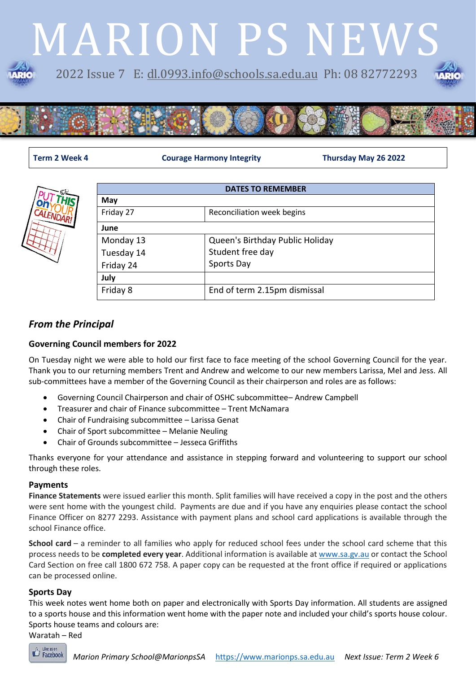# MARION PS NEWS 2022 Issue 7 E: [dl.0993.info@schools.sa.edu.au](mailto:dl.0993.info@schools.sa.edu.au) Ph: 08 82772293



**Term 2 Week 4 Courage Harmony Integrity Thursday May 26 2022**



| <b>DATES TO REMEMBER</b> |                                 |  |
|--------------------------|---------------------------------|--|
| May                      |                                 |  |
| Friday 27                | Reconciliation week begins      |  |
| June                     |                                 |  |
| Monday 13                | Queen's Birthday Public Holiday |  |
| Tuesday 14               | Student free day                |  |
| Friday 24                | Sports Day                      |  |
| July                     |                                 |  |
| Friday 8                 | End of term 2.15pm dismissal    |  |

### *From the Principal*

#### **Governing Council members for 2022**

On Tuesday night we were able to hold our first face to face meeting of the school Governing Council for the year. Thank you to our returning members Trent and Andrew and welcome to our new members Larissa, Mel and Jess. All sub-committees have a member of the Governing Council as their chairperson and roles are as follows:

- Governing Council Chairperson and chair of OSHC subcommittee– Andrew Campbell
- Treasurer and chair of Finance subcommittee Trent McNamara
- Chair of Fundraising subcommittee Larissa Genat
- Chair of Sport subcommittee Melanie Neuling
- Chair of Grounds subcommittee Jesseca Griffiths

Thanks everyone for your attendance and assistance in stepping forward and volunteering to support our school through these roles.

#### **Payments**

**Finance Statements** were issued earlier this month. Split families will have received a copy in the post and the others were sent home with the youngest child. Payments are due and if you have any enquiries please contact the school Finance Officer on 8277 2293. Assistance with payment plans and school card applications is available through the school Finance office.

**School card** – a reminder to all families who apply for reduced school fees under the school card scheme that this process needs to be **completed every year**. Additional information is available at [www.sa.gv.au](https://nam04.safelinks.protection.outlook.com/?url=http%3A%2F%2Fwww.sa.gv.au%2F&data=05%7C01%7CDavid.OConnell397%40schools.sa.edu.au%7C0cd37968c82340c102ff08da33a34d46%7C73bbf4e906884946aea9bd0bb40ecf07%7C0%7C0%7C637879073729633557%7CUnknown%7CTWFpbGZsb3d8eyJWIjoiMC4wLjAwMDAiLCJQIjoiV2luMzIiLCJBTiI6Ik1haWwiLCJXVCI6Mn0%3D%7C3000%7C%7C%7C&sdata=b%2BqsyvJDMJh2y7kydR2EdNOSteSYyzY%2FjB6p%2Fw3OuzY%3D&reserved=0) or contact the School Card Section on free call 1800 672 758. A paper copy can be requested at the front office if required or applications can be processed online.

#### **Sports Day**

This week notes went home both on paper and electronically with Sports Day information. All students are assigned to a sports house and this information went home with the paper note and included your child's sports house colour. Sports house teams and colours are:

Waratah – Red

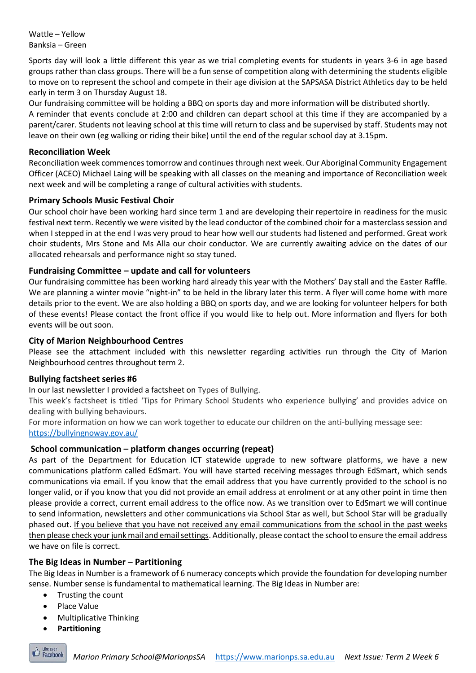Wattle – Yellow Banksia – Green

Sports day will look a little different this year as we trial completing events for students in years 3-6 in age based groups rather than class groups. There will be a fun sense of competition along with determining the students eligible to move on to represent the school and compete in their age division at the SAPSASA District Athletics day to be held early in term 3 on Thursday August 18.

Our fundraising committee will be holding a BBQ on sports day and more information will be distributed shortly. A reminder that events conclude at 2:00 and children can depart school at this time if they are accompanied by a parent/carer. Students not leaving school at this time will return to class and be supervised by staff. Students may not leave on their own (eg walking or riding their bike) until the end of the regular school day at 3.15pm.

#### **Reconciliation Week**

Reconciliation week commences tomorrow and continues through next week. Our Aboriginal Community Engagement Officer (ACEO) Michael Laing will be speaking with all classes on the meaning and importance of Reconciliation week next week and will be completing a range of cultural activities with students.

#### **Primary Schools Music Festival Choir**

Our school choir have been working hard since term 1 and are developing their repertoire in readiness for the music festival next term. Recently we were visited by the lead conductor of the combined choir for a masterclass session and when I stepped in at the end I was very proud to hear how well our students had listened and performed. Great work choir students, Mrs Stone and Ms Alla our choir conductor. We are currently awaiting advice on the dates of our allocated rehearsals and performance night so stay tuned.

#### **Fundraising Committee – update and call for volunteers**

Our fundraising committee has been working hard already this year with the Mothers' Day stall and the Easter Raffle. We are planning a winter movie "night-in" to be held in the library later this term. A flyer will come home with more details prior to the event. We are also holding a BBQ on sports day, and we are looking for volunteer helpers for both of these events! Please contact the front office if you would like to help out. More information and flyers for both events will be out soon.

#### **City of Marion Neighbourhood Centres**

Please see the attachment included with this newsletter regarding activities run through the City of Marion Neighbourhood centres throughout term 2.

#### **Bullying factsheet series #6**

In our last newsletter I provided a factsheet on Types of Bullying.

This week's factsheet is titled 'Tips for Primary School Students who experience bullying' and provides advice on dealing with bullying behaviours.

For more information on how we can work together to educate our children on the anti-bullying message see: https://bullyingnoway.gov.au/

#### **School communication – platform changes occurring (repeat)**

As part of the Department for Education ICT statewide upgrade to new software platforms, we have a new communications platform called EdSmart. You will have started receiving messages through EdSmart, which sends communications via email. If you know that the email address that you have currently provided to the school is no longer valid, or if you know that you did not provide an email address at enrolment or at any other point in time then please provide a correct, current email address to the office now. As we transition over to EdSmart we will continue to send information, newsletters and other communications via School Star as well, but School Star will be gradually phased out. If you believe that you have not received any email communications from the school in the past weeks then please check your junk mail and email settings. Additionally, please contact the school to ensure the email address we have on file is correct.

#### **The Big Ideas in Number – Partitioning**

The Big Ideas in Number is a framework of 6 numeracy concepts which provide the foundation for developing number sense. Number sense is fundamental to mathematical learning. The Big Ideas in Number are:

- Trusting the count
- Place Value
- Multiplicative Thinking
- **Partitioning**

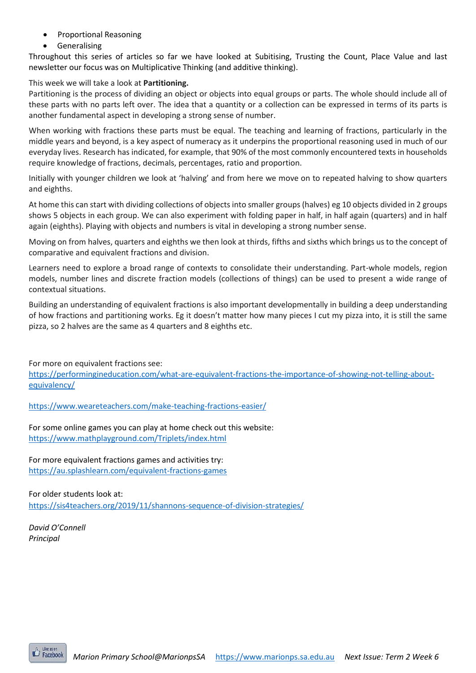- Proportional Reasoning
- **Generalising**

Throughout this series of articles so far we have looked at Subitising, Trusting the Count, Place Value and last newsletter our focus was on Multiplicative Thinking (and additive thinking).

#### This week we will take a look at **Partitioning.**

Partitioning is the process of dividing an object or objects into equal groups or parts. The whole should include all of these parts with no parts left over. The idea that a quantity or a collection can be expressed in terms of its parts is another fundamental aspect in developing a strong sense of number.

When working with fractions these parts must be equal. The teaching and learning of fractions, particularly in the middle years and beyond, is a key aspect of numeracy as it underpins the proportional reasoning used in much of our everyday lives. Research has indicated, for example, that 90% of the most commonly encountered texts in households require knowledge of fractions, decimals, percentages, ratio and proportion.

Initially with younger children we look at 'halving' and from here we move on to repeated halving to show quarters and eighths.

At home this can start with dividing collections of objects into smaller groups (halves) eg 10 objects divided in 2 groups shows 5 objects in each group. We can also experiment with folding paper in half, in half again (quarters) and in half again (eighths). Playing with objects and numbers is vital in developing a strong number sense.

Moving on from halves, quarters and eighths we then look at thirds, fifths and sixths which brings us to the concept of comparative and equivalent fractions and division.

Learners need to explore a broad range of contexts to consolidate their understanding. Part-whole models, region models, number lines and discrete fraction models (collections of things) can be used to present a wide range of contextual situations.

Building an understanding of equivalent fractions is also important developmentally in building a deep understanding of how fractions and partitioning works. Eg it doesn't matter how many pieces I cut my pizza into, it is still the same pizza, so 2 halves are the same as 4 quarters and 8 eighths etc.

For more on equivalent fractions see:

[https://performingineducation.com/what-are-equivalent-fractions-the-importance-of-showing-not-telling-about](https://performingineducation.com/what-are-equivalent-fractions-the-importance-of-showing-not-telling-about-equivalency/)[equivalency/](https://performingineducation.com/what-are-equivalent-fractions-the-importance-of-showing-not-telling-about-equivalency/)

<https://www.weareteachers.com/make-teaching-fractions-easier/>

For some online games you can play at home check out this website: https://www.mathplayground.com/Triplets/index.html

For more equivalent fractions games and activities try: <https://au.splashlearn.com/equivalent-fractions-games>

For older students look at: <https://sis4teachers.org/2019/11/shannons-sequence-of-division-strategies/>

*David O'Connell Principal*

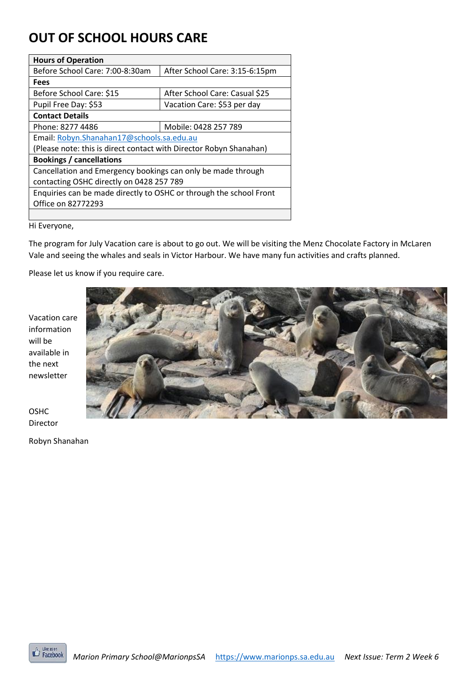# **OUT OF SCHOOL HOURS CARE**

| <b>Hours of Operation</b>                                          |                                |  |  |
|--------------------------------------------------------------------|--------------------------------|--|--|
| Before School Care: 7:00-8:30am                                    | After School Care: 3:15-6:15pm |  |  |
| <b>Fees</b>                                                        |                                |  |  |
| Before School Care: \$15                                           | After School Care: Casual \$25 |  |  |
| Pupil Free Day: \$53                                               | Vacation Care: \$53 per day    |  |  |
| <b>Contact Details</b>                                             |                                |  |  |
| Phone: 8277 4486                                                   | Mobile: 0428 257 789           |  |  |
| Email: Robyn.Shanahan17@schools.sa.edu.au                          |                                |  |  |
| (Please note: this is direct contact with Director Robyn Shanahan) |                                |  |  |
| <b>Bookings / cancellations</b>                                    |                                |  |  |
| Cancellation and Emergency bookings can only be made through       |                                |  |  |
| contacting OSHC directly on 0428 257 789                           |                                |  |  |
| Enquiries can be made directly to OSHC or through the school Front |                                |  |  |
| Office on 82772293                                                 |                                |  |  |
|                                                                    |                                |  |  |

Hi Everyone,

The program for July Vacation care is about to go out. We will be visiting the Menz Chocolate Factory in McLaren Vale and seeing the whales and seals in Victor Harbour. We have many fun activities and crafts planned.

Please let us know if you require care.

Vacation care information will be available in the next newsletter



OSHC Director

Robyn Shanahan